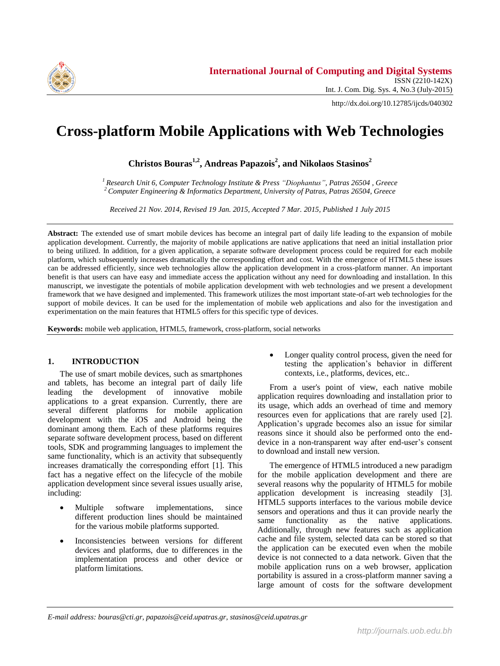

http://dx.doi.org/10.12785/ijcds/040302

# **Cross-platform Mobile Applications with Web Technologies**

**Christos Bouras1,2 , Andreas Papazois<sup>2</sup> , and Nikolaos Stasinos<sup>2</sup>**

*<sup>1</sup> Research Unit 6, Computer Technology Institute & Press "Diophantus", Patras 26504 , Greece <sup>2</sup> Computer Engineering & Informatics Department, University of Patras, Patras 26504, Greece*

*Received 21 Nov. 2014, Revised 19 Jan. 2015, Accepted 7 Mar. 2015, Published 1 July 2015*

**Abstract:** The extended use of smart mobile devices has become an integral part of daily life leading to the expansion of mobile application development. Currently, the majority of mobile applications are native applications that need an initial installation prior to being utilized. In addition, for a given application, a separate software development process could be required for each mobile platform, which subsequently increases dramatically the corresponding effort and cost. With the emergence of HTML5 these issues can be addressed efficiently, since web technologies allow the application development in a cross-platform manner. An important benefit is that users can have easy and immediate access the application without any need for downloading and installation. In this manuscript, we investigate the potentials of mobile application development with web technologies and we present a development framework that we have designed and implemented. This framework utilizes the most important state-of-art web technologies for the support of mobile devices. It can be used for the implementation of mobile web applications and also for the investigation and experimentation on the main features that HTML5 offers for this specific type of devices.

**Keywords:** mobile web application, HTML5, framework, cross-platform, social networks

# **1. INTRODUCTION**

The use of smart mobile devices, such as smartphones and tablets, has become an integral part of daily life leading the development of innovative mobile applications to a great expansion. Currently, there are several different platforms for mobile application development with the iOS and Android being the dominant among them. Each of these platforms requires separate software development process, based on different tools, SDK and programming languages to implement the same functionality, which is an activity that subsequently increases dramatically the corresponding effort [\[1\].](#page-9-0) This fact has a negative effect on the lifecycle of the mobile application development since several issues usually arise, including:

- Multiple software implementations, since different production lines should be maintained for the various mobile platforms supported.
- Inconsistencies between versions for different devices and platforms, due to differences in the implementation process and other device or platform limitations.

 Longer quality control process, given the need for testing the application's behavior in different contexts, i.e., platforms, devices, etc..

From a user's point of view, each native mobile application requires downloading and installation prior to its usage, which adds an overhead of time and memory resources even for applications that are rarely used [\[2\].](#page-9-1) Application's upgrade becomes also an issue for similar reasons since it should also be performed onto the enddevice in a non-transparent way after end-user's consent to download and install new version.

The emergence of HTML5 introduced a new paradigm for the mobile application development and there are several reasons why the popularity of HTML5 for mobile application development is increasing steadily [\[3\].](#page-9-2) HTML5 supports interfaces to the various mobile device sensors and operations and thus it can provide nearly the same functionality as the native applications. Additionally, through new features such as application cache and file system, selected data can be stored so that the application can be executed even when the mobile device is not connected to a data network. Given that the mobile application runs on a web browser, application portability is assured in a cross-platform manner saving a large amount of costs for the software development

*E-mail address: bouras@cti.gr, papazois@ceid.upatras.gr, stasinos@ceid.upatras.gr*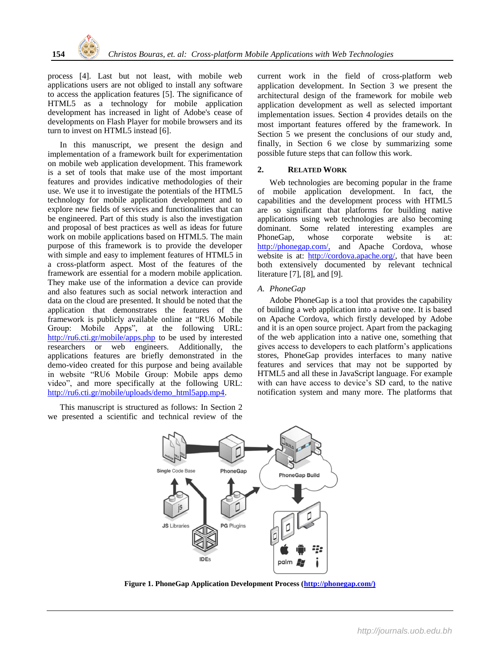process [\[4\].](#page-9-3) Last but not least, with mobile web applications users are not obliged to install any software to access the application features [\[5\].](#page-9-4) The significance of HTML5 as a technology for mobile application development has increased in light of Adobe's cease of developments on Flash Player for mobile browsers and its turn to invest on HTML5 instea[d \[6\].](#page-9-5)

In this manuscript, we present the design and implementation of a framework built for experimentation on mobile web application development. This framework is a set of tools that make use of the most important features and provides indicative methodologies of their use. We use it to investigate the potentials of the HTML5 technology for mobile application development and to explore new fields of services and functionalities that can be engineered. Part of this study is also the investigation and proposal of best practices as well as ideas for future work on mobile applications based on HTML5. The main purpose of this framework is to provide the developer with simple and easy to implement features of HTML5 in a cross-platform aspect. Most of the features of the framework are essential for a modern mobile application. They make use of the information a device can provide and also features such as social network interaction and data on the cloud are presented. It should be noted that the application that demonstrates the features of the framework is publicly available online at "RU6 Mobile Group: Mobile Apps", at the following URL: <http://ru6.cti.gr/mobile/apps.php> to be used by interested researchers or web engineers. Additionally, the applications features are briefly demonstrated in the demo-video created for this purpose and being available in website "RU6 Mobile Group: Mobile apps demo video", and more specifically at the following URL: [http://ru6.cti.gr/mobile/uploads/demo\\_html5app.mp4.](http://ru6.cti.gr/mobile/uploads/demo_html5app.mp4)

This manuscript is structured as follows: In Section [2](#page-1-0) we presented a scientific and technical review of the current work in the field of cross-platform web application development. In Section [3](#page-2-0) we present the architectural design of the framework for mobile web application development as well as selected important implementation issues. Section [4](#page-6-0) provides details on the most important features offered by the framework. In Section [5](#page-8-0) we present the conclusions of our study and, finally, in Section [6](#page-8-1) we close by summarizing some possible future steps that can follow this work.

# <span id="page-1-0"></span>**2. RELATED WORK**

Web technologies are becoming popular in the frame of mobile application development. In fact, the capabilities and the development process with HTML5 are so significant that platforms for building native applications using web technologies are also becoming dominant. Some related interesting examples are PhoneGap, whose corporate website is at: [http://phonegap.com/,](http://phonegap.com/) and Apache Cordova, whose website is at: [http://cordova.apache.org/,](http://cordova.apache.org/) that have been both extensively documented by relevant technical literatur[e \[7\],](#page-9-6) [\[8\],](#page-9-7) and [\[9\].](#page-9-8)

# *A. PhoneGap*

Adobe PhoneGap is a tool that provides the capability of building a web application into a native one. It is based on Apache Cordova, which firstly developed by Adobe and it is an open source project. Apart from the packaging of the web application into a native one, something that gives access to developers to each platform's applications stores, PhoneGap provides interfaces to many native features and services that may not be supported by HTML5 and all these in JavaScript language. For example with can have access to device's SD card, to the native notification system and many more. The platforms that



**Figure 1. PhoneGap Application Development Process [\(http://phonegap.com/\)](http://phonegap.com/)**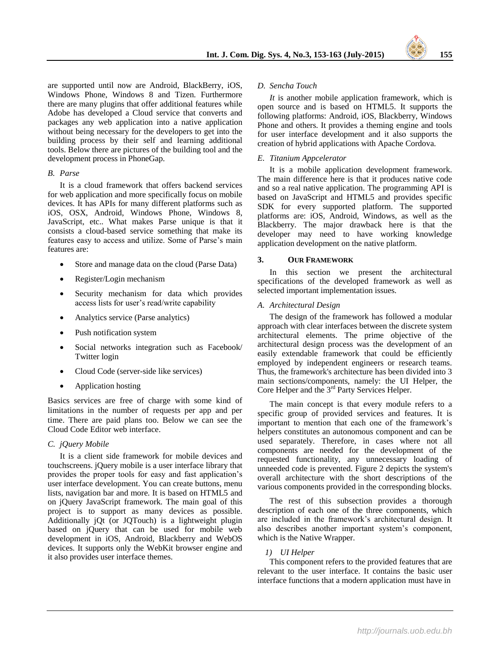are supported until now are Android, BlackBerry, iOS, Windows Phone, Windows 8 and Tizen. Furthermore there are many plugins that offer additional features while Adobe has developed a Cloud service that converts and packages any web application into a native application without being necessary for the developers to get into the building process by their self and learning additional tools. Below there are pictures of the building tool and the development process in PhoneGap.

# *B. Parse*

It is a cloud framework that offers backend services for web application and more specifically focus on mobile devices. It has APIs for many different platforms such as iOS, OSX, Android, Windows Phone, Windows 8, JavaScript, etc.. What makes Parse unique is that it consists a cloud-based service something that make its features easy to access and utilize. Some of Parse's main features are:

- Store and manage data on the cloud (Parse Data)
- Register/Login mechanism
- Security mechanism for data which provides access lists for user's read/write capability
- Analytics service (Parse analytics)
- Push notification system
- Social networks integration such as Facebook/ Twitter login
- Cloud Code (server-side like services)
- Application hosting

Basics services are free of charge with some kind of limitations in the number of requests per app and per time. There are paid plans too. Below we can see the Cloud Code Editor web interface.

# *C. jQuery Mobile*

It is a client side framework for mobile devices and touchscreens. jQuery mobile is a user interface library that provides the proper tools for easy and fast application's user interface development. You can create buttons, menu lists, navigation bar and more. It is based on HTML5 and on jQuery JavaScript framework. The main goal of this project is to support as many devices as possible. Additionally jQt (or JQTouch) is a lightweight plugin based on jQuery that can be used for mobile web development in iOS, Android, Blackberry and WebOS devices. It supports only the WebKit browser engine and it also provides user interface themes.

#### *D. Sencha Touch*

*It* is another mobile application framework, which is open source and is based on HTML5. It supports the following platforms: Android, iOS, Blackberry, Windows Phone and others. It provides a theming engine and tools for user interface development and it also supports the creation of hybrid applications with Apache Cordova.

## *E. Titanium Appcelerator*

It is a mobile application development framework. The main difference here is that it produces native code and so a real native application. The programming API is based on JavaScript and HTML5 and provides specific SDK for every supported platform. The supported platforms are: iOS, Android, Windows, as well as the Blackberry. The major drawback here is that the developer may need to have working knowledge application development on the native platform.

## <span id="page-2-0"></span>**3. OUR FRAMEWORK**

In this section we present the architectural specifications of the developed framework as well as selected important implementation issues.

## *A. Architectural Design*

The design of the framework has followed a modular approach with clear interfaces between the discrete system architectural elements. The prime objective of the architectural design process was the development of an easily extendable framework that could be efficiently employed by independent engineers or research teams. Thus, the framework's architecture has been divided into 3 main sections/components, namely: the UI Helper, the Core Helper and the 3rd Party Services Helper.

The main concept is that every module refers to a specific group of provided services and features. It is important to mention that each one of the framework's helpers constitutes an autonomous component and can be used separately. Therefore, in cases where not all components are needed for the development of the requested functionality, any unnecessary loading of unneeded code is prevented. [Figure 2](#page-3-0) depicts the system's overall architecture with the short descriptions of the various components provided in the corresponding blocks.

The rest of this subsection provides a thorough description of each one of the three components, which are included in the framework's architectural design. It also describes another important system's component, which is the Native Wrapper.

# *1) UI Helper*

This component refers to the provided features that are relevant to the user interface. It contains the basic user interface functions that a modern application must have in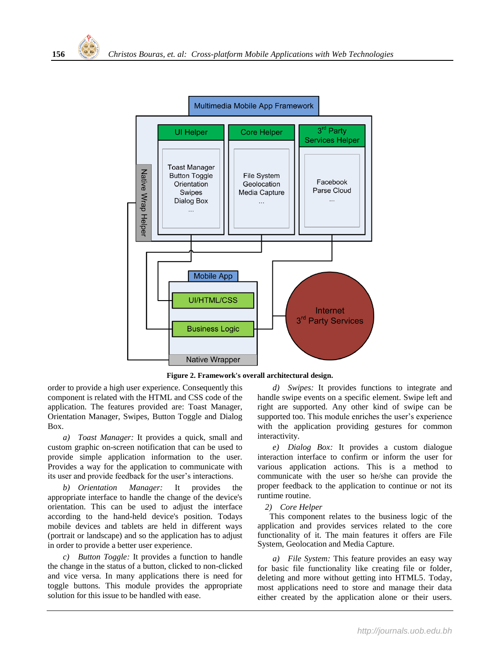

**Figure 2. Framework's overall architectural design.**

<span id="page-3-0"></span>order to provide a high user experience. Consequently this component is related with the HTML and CSS code of the application. The features provided are: Toast Manager, Orientation Manager, Swipes, Button Toggle and Dialog Box.

*a) Toast Manager:* It provides a quick, small and custom graphic on-screen notification that can be used to provide simple application information to the user. Provides a way for the application to communicate with its user and provide feedback for the user's interactions.

*b) Orientation Manager:* It provides the appropriate interface to handle the change of the device's orientation. This can be used to adjust the interface according to the hand-held device's position. Todays mobile devices and tablets are held in different ways (portrait or landscape) and so the application has to adjust in order to provide a better user experience.

*c) Button Toggle:* It provides a function to handle the change in the status of a button, clicked to non-clicked and vice versa. In many applications there is need for toggle buttons. This module provides the appropriate solution for this issue to be handled with ease.

*d) Swipes:* It provides functions to integrate and handle swipe events on a specific element. Swipe left and right are supported. Any other kind of swipe can be supported too. This module enriches the user's experience with the application providing gestures for common interactivity.

*e) Dialog Box:* It provides a custom dialogue interaction interface to confirm or inform the user for various application actions. This is a method to communicate with the user so he/she can provide the proper feedback to the application to continue or not its runtime routine.

# *2) Core Helper*

This component relates to the business logic of the application and provides services related to the core functionality of it. The main features it offers are File System, Geolocation and Media Capture.

*a) File System:* This feature provides an easy way for basic file functionality like creating file or folder, deleting and more without getting into HTML5. Today, most applications need to store and manage their data either created by the application alone or their users.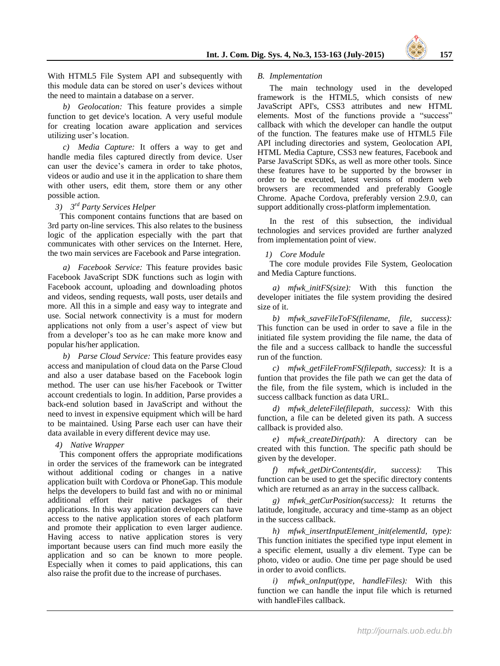With HTML5 File System API and subsequently with this module data can be stored on user's devices without the need to maintain a database on a server.

*b) Geolocation:* This feature provides a simple function to get device's location. A very useful module for creating location aware application and services utilizing user's location.

*c) Media Capture:* It offers a way to get and handle media files captured directly from device. User can user the device's camera in order to take photos, videos or audio and use it in the application to share them with other users, edit them, store them or any other possible action.

# *3) 3 rd Party Services Helper*

This component contains functions that are based on 3rd party on-line services. This also relates to the business logic of the application especially with the part that communicates with other services on the Internet. Here, the two main services are Facebook and Parse integration.

*a) Facebook Service:* This feature provides basic Facebook JavaScript SDK functions such as login with Facebook account, uploading and downloading photos and videos, sending requests, wall posts, user details and more. All this in a simple and easy way to integrate and use. Social network connectivity is a must for modern applications not only from a user's aspect of view but from a developer's too as he can make more know and popular his/her application.

*b) Parse Cloud Service:* This feature provides easy access and manipulation of cloud data on the Parse Cloud and also a user database based on the Facebook login method. The user can use his/her Facebook or Twitter account credentials to login. In addition, Parse provides a back-end solution based in JavaScript and without the need to invest in expensive equipment which will be hard to be maintained. Using Parse each user can have their data available in every different device may use.

# *4) Native Wrapper*

This component offers the appropriate modifications in order the services of the framework can be integrated without additional coding or changes in a native application built with Cordova or PhoneGap. This module helps the developers to build fast and with no or minimal additional effort their native packages of their applications. In this way application developers can have access to the native application stores of each platform and promote their application to even larger audience. Having access to native application stores is very important because users can find much more easily the application and so can be known to more people. Especially when it comes to paid applications, this can also raise the profit due to the increase of purchases.

## *B. Implementation*

The main technology used in the developed framework is the HTML5, which consists of new JavaScript API's, CSS3 attributes and new HTML elements. Most of the functions provide a "success" callback with which the developer can handle the output of the function. The features make use of HTML5 File API including directories and system, Geolocation API, HTML Media Capture, CSS3 new features, Facebook and Parse JavaScript SDKs, as well as more other tools. Since these features have to be supported by the browser in order to be executed, latest versions of modern web browsers are recommended and preferably Google Chrome. Apache Cordova, preferably version 2.9.0, can support additionally cross-platform implementation.

In the rest of this subsection, the individual technologies and services provided are further analyzed from implementation point of view.

# *1) Core Module*

The core module provides File System, Geolocation and Media Capture functions.

*a) mfwk\_initFS(size):* With this function the developer initiates the file system providing the desired size of it.

*b) mfwk\_saveFileToFS(filename, file, success):*  This function can be used in order to save a file in the initiated file system providing the file name, the data of the file and a success callback to handle the successful run of the function.

*c) mfwk\_getFileFromFS(filepath, success):* It is a funtion that provides the file path we can get the data of the file, from the file system, which is included in the success callback function as data URL.

*d) mfwk\_deleteFile(filepath, success):* With this function, a file can be deleted given its path. A success callback is provided also.

*e) mfwk\_createDir(path):* A directory can be created with this function. The specific path should be given by the developer.

*f) mfwk\_getDirContents(dir, success):* This function can be used to get the specific directory contents which are returned as an array in the success callback.

*g) mfwk\_getCurPosition(success):* It returns the latitude, longitude, accuracy and time-stamp as an object in the success callback.

*h) mfwk\_insertInputElement\_init(elementId, type):*  This function initiates the specified type input element in a specific element, usually a div element. Type can be photo, video or audio. One time per page should be used in order to avoid conflicts.

*i) mfwk\_onInput(type, handleFiles):* With this function we can handle the input file which is returned with handleFiles callback.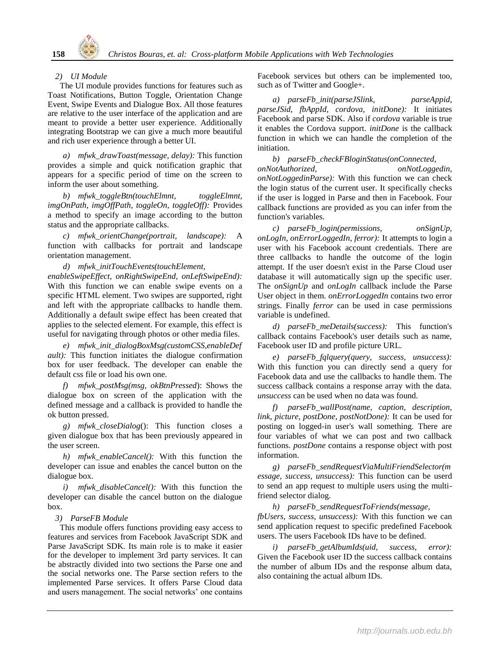## *2) UI Module*

The UI module provides functions for features such as Toast Notifications, Button Toggle, Orientation Change Event, Swipe Events and Dialogue Box. All those features are relative to the user interface of the application and are meant to provide a better user experience. Additionally integrating Bootstrap we can give a much more beautiful and rich user experience through a better UI.

*a) mfwk\_drawToast(message, delay):* This function provides a simple and quick notification graphic that appears for a specific period of time on the screen to inform the user about something.

*b) mfwk\_toggleBtn(touchElmnt, toggleElmnt, imgOnPath, imgOffPath, toggleOn, toggleOff):* Provides a method to specify an image according to the button status and the appropriate callbacks.

*c) mfwk\_orientChange(portrait, landscape):* A function with callbacks for portrait and landscape orientation management.

*d) mfwk\_initTouchEvents(touchElement,* 

*enableSwipeEffect, onRightSwipeEnd, onLeftSwipeEnd):*  With this function we can enable swipe events on a specific HTML element. Two swipes are supported, right and left with the appropriate callbacks to handle them. Additionally a default swipe effect has been created that applies to the selected element. For example, this effect is useful for navigating through photos or other media files.

*e) mfwk\_init\_dialogBoxMsg(customCSS,enableDef ault):* This function initiates the dialogue confirmation box for user feedback. The developer can enable the default css file or load his own one.

*f) mfwk\_postMsg(msg, okBtnPressed*): Shows the dialogue box on screen of the application with the defined message and a callback is provided to handle the ok button pressed.

*g) mfwk\_closeDialog*(): This function closes a given dialogue box that has been previously appeared in the user screen.

*h) mfwk\_enableCancel():* With this function the developer can issue and enables the cancel button on the dialogue box.

*i) mfwk\_disableCancel():* With this function the developer can disable the cancel button on the dialogue box.

*3) ParseFB Module*

This module offers functions providing easy access to features and services from Facebook JavaScript SDK and Parse JavaScript SDK. Its main role is to make it easier for the developer to implement 3rd party services. It can be abstractly divided into two sections the Parse one and the social networks one. The Parse section refers to the implemented Parse services. It offers Parse Cloud data and users management. The social networks' one contains Facebook services but others can be implemented too, such as of Twitter and Google+.

*a) parseFb\_init(parseJSlink, parseAppid, parseJSid, fbAppId, cordova, initDone):* It initiates Facebook and parse SDK. Also if *cordova* variable is true it enables the Cordova support. *initDone* is the callback function in which we can handle the completion of the initiation.

*b) parseFb\_checkFBloginStatus(onConnected, onNotAuthorized, onNotLoggedin, onNotLoggedinParse):* With this function we can check the login status of the current user. It specifically checks if the user is logged in Parse and then in Facebook. Four callback functions are provided as you can infer from the function's variables.

*c) parseFb\_login(permissions, onSignUp, onLogIn, onErrorLoggedIn, ferror):* It attempts to login a user with his Facebook account credentials. There are three callbacks to handle the outcome of the login attempt. If the user doesn't exist in the Parse Cloud user database it will automatically sign up the specific user. The *onSignUp* and *onLogIn* callback include the Parse User object in them. *onErrorLoggedIn* contains two error strings. Finally *ferror* can be used in case permissions variable is undefined.

*d) parseFb\_meDetails(success):* This function's callback contains Facebook's user details such as name, Facebook user ID and profile picture URL.

*e) parseFb\_fqlquery(query, success, unsuccess):*  With this function you can directly send a query for Facebook data and use the callbacks to handle them. The success callback contains a response array with the data. *unsuccess* can be used when no data was found.

*f) parseFb\_wallPost(name, caption, description, link, picture, postDone, postNotDone):* It can be used for posting on logged-in user's wall something. There are four variables of what we can post and two callback functions. *postDone* contains a response object with post information.

*g) parseFb\_sendRequestViaMultiFriendSelector(m essage, success, unsuccess):* This function can be userd to send an app request to multiple users using the multifriend selector dialog.

*h) parseFb\_sendRequestToFriends(message, fbUsers, success, unsuccess):* With this function we can send application request to specific predefined Facebook users. The users Facebook IDs have to be defined.

*i) parseFb\_getAlbumIds(uid, success, error):*  Given the Facebook user ID the success callback contains the number of album IDs and the response album data, also containing the actual album IDs.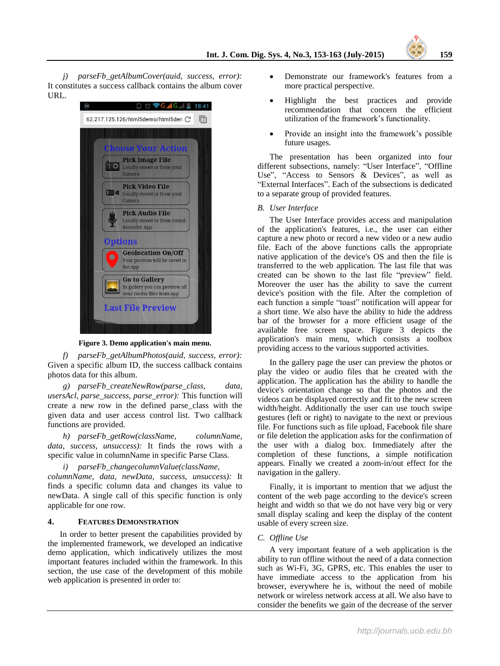

*j) parseFb\_getAlbumCover(auid, success, error):*  It constitutes a success callback contains the album cover URL.



**Figure 3. Demo application's main menu.**

<span id="page-6-3"></span>*f) parseFb\_getAlbumPhotos(auid, success, error):*  Given a specific album ID, the success callback contains photos data for this album.

*g) parseFb\_createNewRow(parse\_class, data, usersAcl, parse\_success, parse\_error):* This function will create a new row in the defined parse\_class with the given data and user access control list. Two callback functions are provided.

*h) parseFb\_getRow(className, columnName, data, success, unsuccess):* It finds the rows with a specific value in columnName in specific Parse Class.

*i) parseFb\_changecolumnValue(className,* 

*columnName, data, newData, success, unsuccess):* It finds a specific column data and changes its value to newData. A single call of this specific function is only applicable for one row.

# <span id="page-6-0"></span>**4. FEATURES DEMONSTRATION**

In order to better present the capabilities provided by the implemented framework, we developed an indicative demo application, which indicatively utilizes the most important features included within the framework. In this section, the use case of the development of this mobile web application is presented in order to:

- Demonstrate our framework's features from a more practical perspective.
- Highlight the best practices and provide recommendation that concern the efficient utilization of the framework's functionality.
- Provide an insight into the framework's possible future usages.

The presentation has been organized into four different subsections, namely: ["User Interface"](#page-6-1), ["Offline](#page-6-2)  [Use"](#page-6-2), ["Access to Sensors & Devices"](#page-7-0), as well as ["External Interfaces"](#page-8-2). Each of the subsections is dedicated to a separate group of provided features.

#### <span id="page-6-1"></span>*B. User Interface*

The User Interface provides access and manipulation of the application's features, i.e., the user can either capture a new photo or record a new video or a new audio file. Each of the above functions calls the appropriate native application of the device's OS and then the file is transferred to the web application. The last file that was created can be shown to the last file "preview" field. Moreover the user has the ability to save the current device's position with the file. After the completion of each function a simple "toast" notification will appear for a short time. We also have the ability to hide the address bar of the browser for a more efficient usage of the available free screen space. [Figure 3](#page-6-3) depicts the application's main menu, which consists a toolbox providing access to the various supported activities.

In the gallery page the user can preview the photos or play the video or audio files that he created with the application. The application has the ability to handle the device's orientation change so that the photos and the videos can be displayed correctly and fit to the new screen width/height. Additionally the user can use touch swipe gestures (left or right) to navigate to the next or previous file. For functions such as file upload, Facebook file share or file deletion the application asks for the confirmation of the user with a dialog box. Immediately after the completion of these functions, a simple notification appears. Finally we created a zoom-in/out effect for the navigation in the gallery.

Finally, it is important to mention that we adjust the content of the web page according to the device's screen height and width so that we do not have very big or very small display scaling and keep the display of the content usable of every screen size.

## <span id="page-6-2"></span>*C. Offline Use*

A very important feature of a web application is the ability to run offline without the need of a data connection such as Wi-Fi, 3G, GPRS, etc. This enables the user to have immediate access to the application from his browser, everywhere he is, without the need of mobile network or wireless network access at all. We also have to consider the benefits we gain of the decrease of the server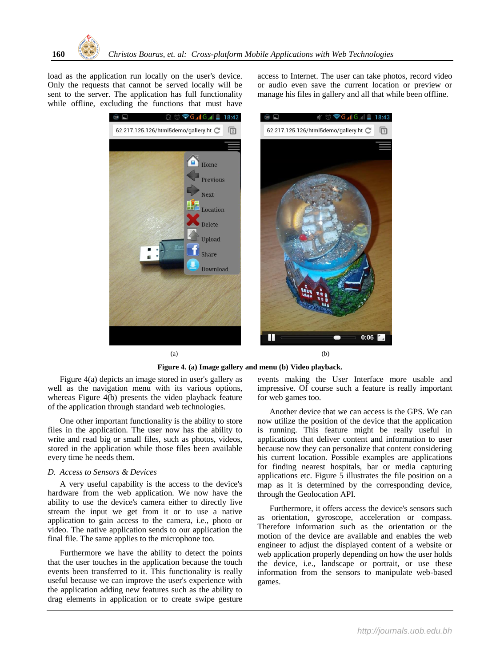load as the application run locally on the user's device. Only the requests that cannot be served locally will be sent to the server. The application has full functionality while offline, excluding the functions that must have

access to Internet. The user can take photos, record video or audio even save the current location or preview or manage his files in gallery and all that while been offline.



 $(a)$  (b) **Figure 4. (a) Image gallery and menu (b) Video playback.**

<span id="page-7-1"></span>[Figure 4\(](#page-7-1)a) depicts an image stored in user's gallery as well as the navigation menu with its various options, whereas [Figure 4\(](#page-7-1)b) presents the video playback feature of the application through standard web technologies.

One other important functionality is the ability to store files in the application. The user now has the ability to write and read big or small files, such as photos, videos, stored in the application while those files been available every time he needs them.

#### <span id="page-7-0"></span>*D. Access to Sensors & Devices*

A very useful capability is the access to the device's hardware from the web application. We now have the ability to use the device's camera either to directly live stream the input we get from it or to use a native application to gain access to the camera, i.e., photo or video. The native application sends to our application the final file. The same applies to the microphone too.

Furthermore we have the ability to detect the points that the user touches in the application because the touch events been transferred to it. This functionality is really useful because we can improve the user's experience with the application adding new features such as the ability to drag elements in application or to create swipe gesture

events making the User Interface more usable and impressive. Of course such a feature is really important for web games too.

Another device that we can access is the GPS. We can now utilize the position of the device that the application is running. This feature might be really useful in applications that deliver content and information to user because now they can personalize that content considering his current location. Possible examples are applications for finding nearest hospitals, bar or media capturing applications etc. [Figure 5](#page-8-3) illustrates the file position on a map as it is determined by the corresponding device, through the Geolocation API.

Furthermore, it offers access the device's sensors such as orientation, gyroscope, acceleration or compass. Therefore information such as the orientation or the motion of the device are available and enables the web engineer to adjust the displayed content of a website or web application properly depending on how the user holds the device, i.e., landscape or portrait, or use these information from the sensors to manipulate web-based games.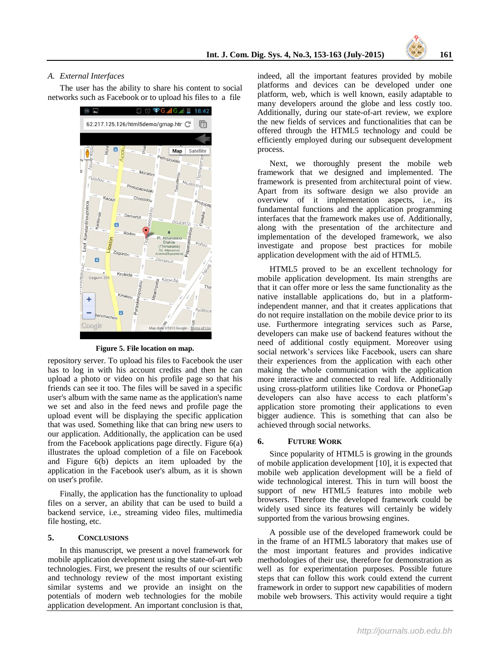

## <span id="page-8-2"></span>*A. External Interfaces*

The user has the ability to share his content to social networks such as Facebook or to upload his files to a file



**Figure 5. File location on map.**

<span id="page-8-3"></span>repository server. To upload his files to Facebook the user has to log in with his account credits and then he can upload a photo or video on his profile page so that his friends can see it too. The files will be saved in a specific user's album with the same name as the application's name we set and also in the feed news and profile page the upload event will be displaying the specific application that was used. Something like that can bring new users to our application. Additionally, the application can be used from the Facebook applications page directly. [Figure 6\(](#page-9-9)a) illustrates the upload completion of a file on Facebook and [Figure 6\(](#page-9-9)b) depicts an item uploaded by the application in the Facebook user's album, as it is shown on user's profile.

Finally, the application has the functionality to upload files on a server, an ability that can be used to build a backend service, i.e., streaming video files, multimedia file hosting, etc.

# <span id="page-8-0"></span>**5. CONCLUSIONS**

In this manuscript, we present a novel framework for mobile application development using the state-of-art web technologies. First, we present the results of our scientific and technology review of the most important existing similar systems and we provide an insight on the potentials of modern web technologies for the mobile application development. An important conclusion is that,

indeed, all the important features provided by mobile platforms and devices can be developed under one platform, web, which is well known, easily adaptable to many developers around the globe and less costly too. Additionally, during our state-of-art review, we explore the new fields of services and functionalities that can be offered through the HTML5 technology and could be efficiently employed during our subsequent development process.

Next, we thoroughly present the mobile web framework that we designed and implemented. The framework is presented from architectural point of view. Apart from its software design we also provide an overview of it implementation aspects, i.e., its fundamental functions and the application programming interfaces that the framework makes use of. Additionally, along with the presentation of the architecture and implementation of the developed framework, we also investigate and propose best practices for mobile application development with the aid of HTML5.

HTML5 proved to be an excellent technology for mobile application development. Its main strengths are that it can offer more or less the same functionality as the native installable applications do, but in a platformindependent manner, and that it creates applications that do not require installation on the mobile device prior to its use. Furthermore integrating services such as Parse, developers can make use of backend features without the need of additional costly equipment. Moreover using social network's services like Facebook, users can share their experiences from the application with each other making the whole communication with the application more interactive and connected to real life. Additionally using cross-platform utilities like Cordova or PhoneGap developers can also have access to each platform's application store promoting their applications to even bigger audience. This is something that can also be achieved through social networks.

#### <span id="page-8-1"></span>**6. FUTURE WORK**

Since popularity of HTML5 is growing in the grounds of mobile application development [\[10\],](#page-9-10) it is expected that mobile web application development will be a field of wide technological interest. This in turn will boost the support of new HTML5 features into mobile web browsers. Therefore the developed framework could be widely used since its features will certainly be widely supported from the various browsing engines.

A possible use of the developed framework could be in the frame of an HTML5 laboratory that makes use of the most important features and provides indicative methodologies of their use, therefore for demonstration as well as for experimentation purposes. Possible future steps that can follow this work could extend the current framework in order to support new capabilities of modern mobile web browsers. This activity would require a tight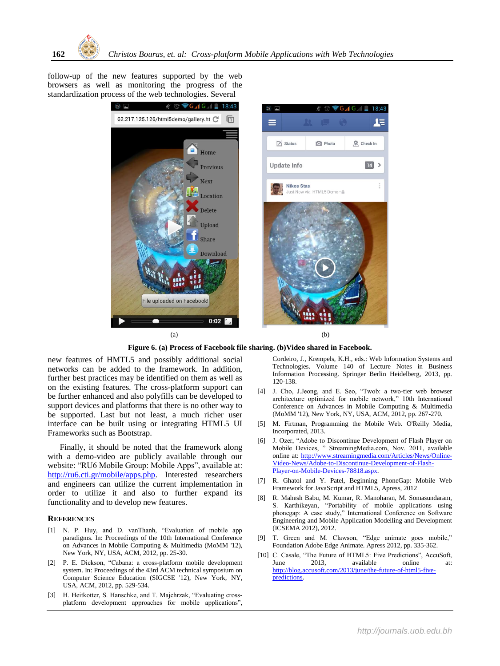follow-up of the new features supported by the web browsers as well as monitoring the progress of the standardization process of the web technologies. Several





**Figure 6. (a) Process of Facebook file sharing. (b)Video shared in Facebook.**

<span id="page-9-9"></span>new features of HMTL5 and possibly additional social networks can be added to the framework. In addition, further best practices may be identified on them as well as on the existing features. The cross-platform support can be further enhanced and also polyfills can be developed to support devices and platforms that there is no other way to be supported. Last but not least, a much richer user interface can be built using or integrating HTML5 UI Frameworks such as Bootstrap.

Finally, it should be noted that the framework along with a demo-video are publicly available through our website: "RU6 Mobile Group: Mobile Apps", available at: [http://ru6.cti.gr/mobile/apps.php.](http://ru6.cti.gr/mobile/apps.php) Interested researchers and engineers can utilize the current implementation in order to utilize it and also to further expand its functionality and to develop new features.

# **REFERENCES**

- <span id="page-9-0"></span>[1] N. P. Huy, and D. vanThanh, "Evaluation of mobile app paradigms. In: Proceedings of the 10th International Conference on Advances in Mobile Computing & Multimedia (MoMM '12), New York, NY, USA, ACM, 2012, pp. 25-30.
- <span id="page-9-1"></span>[2] P. E. Dickson, "Cabana: a cross-platform mobile development system. In: Proceedings of the 43rd ACM technical symposium on Computer Science Education (SIGCSE '12), New York, NY, USA, ACM, 2012, pp. 529-534.
- <span id="page-9-2"></span>[3] H. Heitkotter, S. Hanschke, and T. Majchrzak, "Evaluating crossplatform development approaches for mobile applications",

Cordeiro, J., Krempels, K.H., eds.: Web Information Systems and Technologies. Volume 140 of Lecture Notes in Business Information Processing. Springer Berlin Heidelberg, 2013, pp. 120-138.

- <span id="page-9-3"></span>[4] J. Cho, J.Jeong, and E. Seo, "Twob: a two-tier web browser architecture optimized for mobile network," 10th International Conference on Advances in Mobile Computing & Multimedia (MoMM '12), New York, NY, USA, ACM, 2012, pp. 267-270.
- <span id="page-9-4"></span>[5] M. Firtman, Programming the Mobile Web. O'Reilly Media, Incorporated, 2013.
- <span id="page-9-5"></span>[6] J. Ozer, "Adobe to Discontinue Development of Flash Player on Mobile Devices, " StreamingMedia.com, Nov. 2011, available online at: [http://www.streamingmedia.com/Articles/News/Online-](http://www.streamingmedia.com/Articles/News/Online-Video-News/Adobe-to-Discontinue-Development-of-Flash-Player-on-Mobile-Devices-78818.aspx)[Video-News/Adobe-to-Discontinue-Development-of-Flash-](http://www.streamingmedia.com/Articles/News/Online-Video-News/Adobe-to-Discontinue-Development-of-Flash-Player-on-Mobile-Devices-78818.aspx)[Player-on-Mobile-Devices-78818.aspx.](http://www.streamingmedia.com/Articles/News/Online-Video-News/Adobe-to-Discontinue-Development-of-Flash-Player-on-Mobile-Devices-78818.aspx)
- <span id="page-9-6"></span>[7] R. Ghatol and Y. Patel, Beginning PhoneGap: Mobile Web Framework for JavaScript and HTML5, Apress, 2012
- <span id="page-9-7"></span>[8] R. Mahesh Babu, M. Kumar, R. Manoharan, M. Somasundaram, S. Karthikeyan, "Portability of mobile applications using phonegap: A case study," International Conference on Software Engineering and Mobile Application Modelling and Development (ICSEMA 2012), 2012.
- <span id="page-9-8"></span>[9] T. Green and M. Clawson, "Edge animate goes mobile," Foundation Adobe Edge Animate. Apress 2012, pp. 335-362.
- <span id="page-9-10"></span>[10] C. Casale, "The Future of HTML5: Five Predictions", AccuSoft, June 2013, available online at: [http://blog.accusoft.com/2013/june/the-future-of-html5-five](http://blog.accusoft.com/2013/june/the-future-of-html5-five-predictions)[predictions.](http://blog.accusoft.com/2013/june/the-future-of-html5-five-predictions)